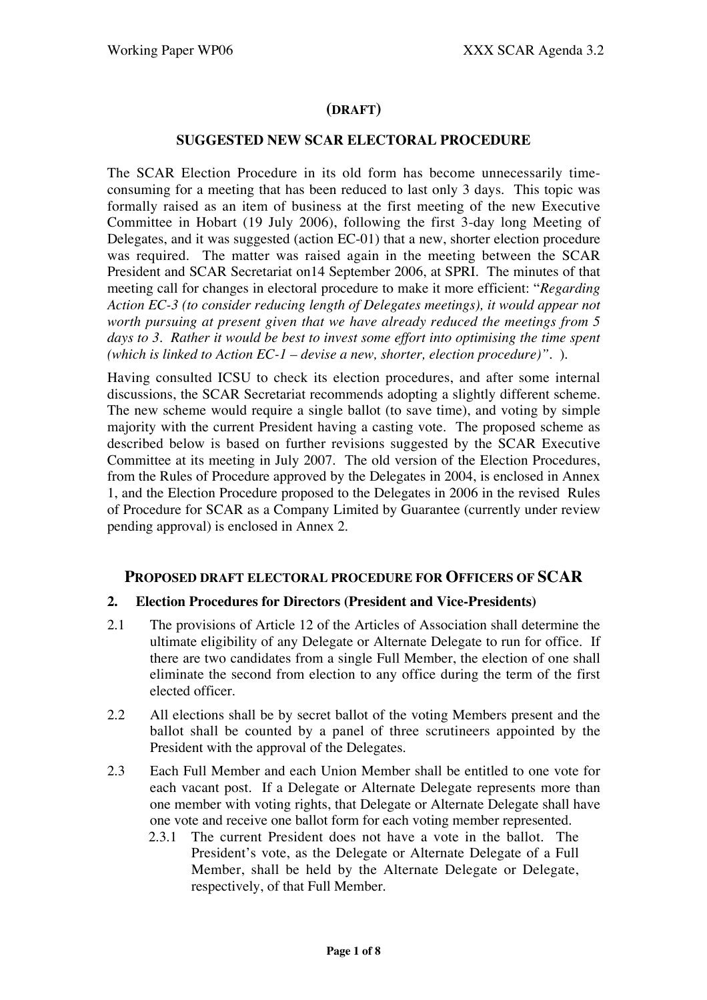## **(DRAFT)**

#### **SUGGESTED NEW SCAR ELECTORAL PROCEDURE**

The SCAR Election Procedure in its old form has become unnecessarily timeconsuming for a meeting that has been reduced to last only 3 days. This topic was formally raised as an item of business at the first meeting of the new Executive Committee in Hobart (19 July 2006), following the first 3-day long Meeting of Delegates, and it was suggested (action EC-01) that a new, shorter election procedure was required. The matter was raised again in the meeting between the SCAR President and SCAR Secretariat on14 September 2006, at SPRI. The minutes of that meeting call for changes in electoral procedure to make it more efficient: "*Regarding Action EC-3 (to consider reducing length of Delegates meetings), it would appear not worth pursuing at present given that we have already reduced the meetings from 5 days to 3. Rather it would be best to invest some effort into optimising the time spent (which is linked to Action EC-1 – devise a new, shorter, election procedure)".* ).

Having consulted ICSU to check its election procedures, and after some internal discussions, the SCAR Secretariat recommends adopting a slightly different scheme. The new scheme would require a single ballot (to save time), and voting by simple majority with the current President having a casting vote. The proposed scheme as described below is based on further revisions suggested by the SCAR Executive Committee at its meeting in July 2007. The old version of the Election Procedures, from the Rules of Procedure approved by the Delegates in 2004, is enclosed in Annex 1, and the Election Procedure proposed to the Delegates in 2006 in the revised Rules of Procedure for SCAR as a Company Limited by Guarantee (currently under review pending approval) is enclosed in Annex 2.

## **PROPOSED DRAFT ELECTORAL PROCEDURE FOR OFFICERS OF SCAR**

#### **2. Election Procedures for Directors (President and Vice-Presidents)**

- 2.1 The provisions of Article 12 of the Articles of Association shall determine the ultimate eligibility of any Delegate or Alternate Delegate to run for office. If there are two candidates from a single Full Member, the election of one shall eliminate the second from election to any office during the term of the first elected officer.
- 2.2 All elections shall be by secret ballot of the voting Members present and the ballot shall be counted by a panel of three scrutineers appointed by the President with the approval of the Delegates.
- 2.3 Each Full Member and each Union Member shall be entitled to one vote for each vacant post. If a Delegate or Alternate Delegate represents more than one member with voting rights, that Delegate or Alternate Delegate shall have one vote and receive one ballot form for each voting member represented.
	- 2.3.1 The current President does not have a vote in the ballot. The President's vote, as the Delegate or Alternate Delegate of a Full Member, shall be held by the Alternate Delegate or Delegate, respectively, of that Full Member.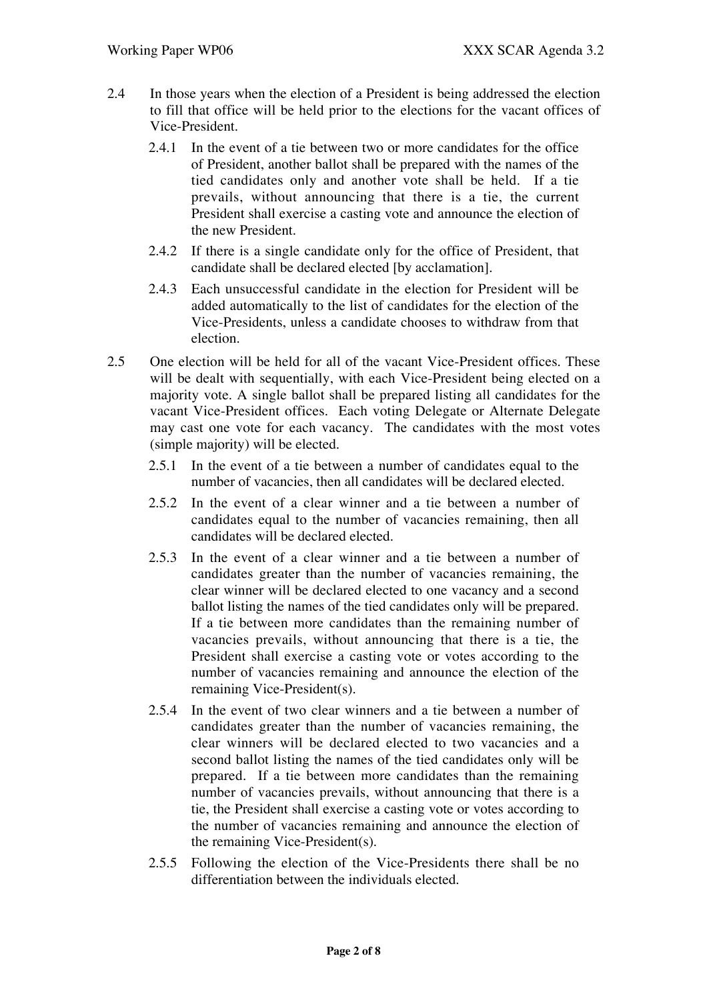- 2.4 In those years when the election of a President is being addressed the election to fill that office will be held prior to the elections for the vacant offices of Vice-President.
	- 2.4.1 In the event of a tie between two or more candidates for the office of President, another ballot shall be prepared with the names of the tied candidates only and another vote shall be held. If a tie prevails, without announcing that there is a tie, the current President shall exercise a casting vote and announce the election of the new President.
	- 2.4.2 If there is a single candidate only for the office of President, that candidate shall be declared elected [by acclamation].
	- 2.4.3 Each unsuccessful candidate in the election for President will be added automatically to the list of candidates for the election of the Vice-Presidents, unless a candidate chooses to withdraw from that election.
- 2.5 One election will be held for all of the vacant Vice-President offices. These will be dealt with sequentially, with each Vice-President being elected on a majority vote. A single ballot shall be prepared listing all candidates for the vacant Vice-President offices. Each voting Delegate or Alternate Delegate may cast one vote for each vacancy. The candidates with the most votes (simple majority) will be elected.
	- 2.5.1 In the event of a tie between a number of candidates equal to the number of vacancies, then all candidates will be declared elected.
	- 2.5.2 In the event of a clear winner and a tie between a number of candidates equal to the number of vacancies remaining, then all candidates will be declared elected.
	- 2.5.3 In the event of a clear winner and a tie between a number of candidates greater than the number of vacancies remaining, the clear winner will be declared elected to one vacancy and a second ballot listing the names of the tied candidates only will be prepared. If a tie between more candidates than the remaining number of vacancies prevails, without announcing that there is a tie, the President shall exercise a casting vote or votes according to the number of vacancies remaining and announce the election of the remaining Vice-President(s).
	- 2.5.4 In the event of two clear winners and a tie between a number of candidates greater than the number of vacancies remaining, the clear winners will be declared elected to two vacancies and a second ballot listing the names of the tied candidates only will be prepared. If a tie between more candidates than the remaining number of vacancies prevails, without announcing that there is a tie, the President shall exercise a casting vote or votes according to the number of vacancies remaining and announce the election of the remaining Vice-President(s).
	- 2.5.5 Following the election of the Vice-Presidents there shall be no differentiation between the individuals elected.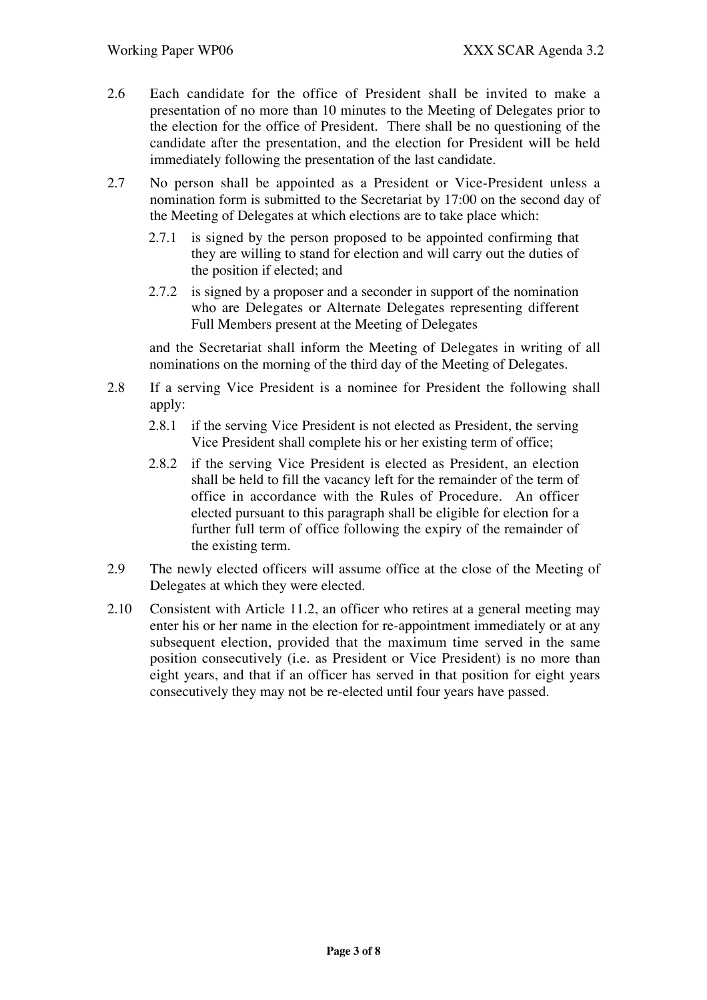- 2.6 Each candidate for the office of President shall be invited to make a presentation of no more than 10 minutes to the Meeting of Delegates prior to the election for the office of President. There shall be no questioning of the candidate after the presentation, and the election for President will be held immediately following the presentation of the last candidate.
- 2.7 No person shall be appointed as a President or Vice-President unless a nomination form is submitted to the Secretariat by 17:00 on the second day of the Meeting of Delegates at which elections are to take place which:
	- 2.7.1 is signed by the person proposed to be appointed confirming that they are willing to stand for election and will carry out the duties of the position if elected; and
	- 2.7.2 is signed by a proposer and a seconder in support of the nomination who are Delegates or Alternate Delegates representing different Full Members present at the Meeting of Delegates

and the Secretariat shall inform the Meeting of Delegates in writing of all nominations on the morning of the third day of the Meeting of Delegates.

- 2.8 If a serving Vice President is a nominee for President the following shall apply:
	- 2.8.1 if the serving Vice President is not elected as President, the serving Vice President shall complete his or her existing term of office;
	- 2.8.2 if the serving Vice President is elected as President, an election shall be held to fill the vacancy left for the remainder of the term of office in accordance with the Rules of Procedure. An officer elected pursuant to this paragraph shall be eligible for election for a further full term of office following the expiry of the remainder of the existing term.
- 2.9 The newly elected officers will assume office at the close of the Meeting of Delegates at which they were elected.
- 2.10 Consistent with Article 11.2, an officer who retires at a general meeting may enter his or her name in the election for re-appointment immediately or at any subsequent election, provided that the maximum time served in the same position consecutively (i.e. as President or Vice President) is no more than eight years, and that if an officer has served in that position for eight years consecutively they may not be re-elected until four years have passed.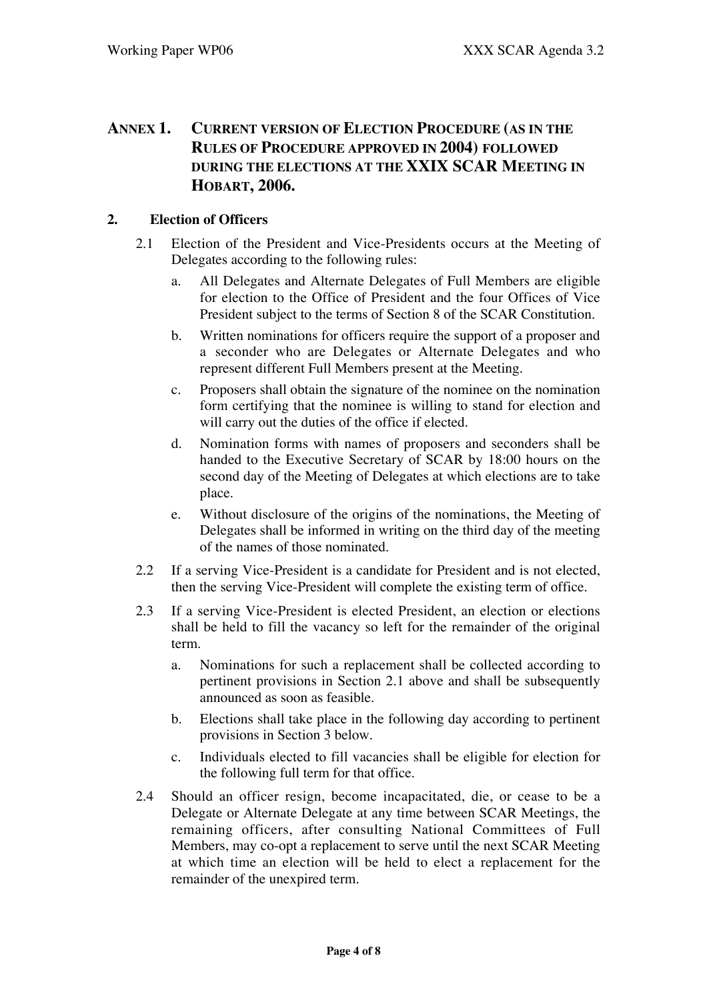# **ANNEX 1. CURRENT VERSION OF ELECTION PROCEDURE (AS IN THE RULES OF PROCEDURE APPROVED IN 2004) FOLLOWED DURING THE ELECTIONS AT THE XXIX SCAR MEETING IN HOBART, 2006.**

## **2. Election of Officers**

- 2.1 Election of the President and Vice-Presidents occurs at the Meeting of Delegates according to the following rules:
	- a. All Delegates and Alternate Delegates of Full Members are eligible for election to the Office of President and the four Offices of Vice President subject to the terms of Section 8 of the SCAR Constitution.
	- b. Written nominations for officers require the support of a proposer and a seconder who are Delegates or Alternate Delegates and who represent different Full Members present at the Meeting.
	- c. Proposers shall obtain the signature of the nominee on the nomination form certifying that the nominee is willing to stand for election and will carry out the duties of the office if elected.
	- d. Nomination forms with names of proposers and seconders shall be handed to the Executive Secretary of SCAR by 18:00 hours on the second day of the Meeting of Delegates at which elections are to take place.
	- e. Without disclosure of the origins of the nominations, the Meeting of Delegates shall be informed in writing on the third day of the meeting of the names of those nominated.
- 2.2 If a serving Vice-President is a candidate for President and is not elected, then the serving Vice-President will complete the existing term of office.
- 2.3 If a serving Vice-President is elected President, an election or elections shall be held to fill the vacancy so left for the remainder of the original term.
	- a. Nominations for such a replacement shall be collected according to pertinent provisions in Section 2.1 above and shall be subsequently announced as soon as feasible.
	- b. Elections shall take place in the following day according to pertinent provisions in Section 3 below.
	- c. Individuals elected to fill vacancies shall be eligible for election for the following full term for that office.
- 2.4 Should an officer resign, become incapacitated, die, or cease to be a Delegate or Alternate Delegate at any time between SCAR Meetings, the remaining officers, after consulting National Committees of Full Members, may co-opt a replacement to serve until the next SCAR Meeting at which time an election will be held to elect a replacement for the remainder of the unexpired term.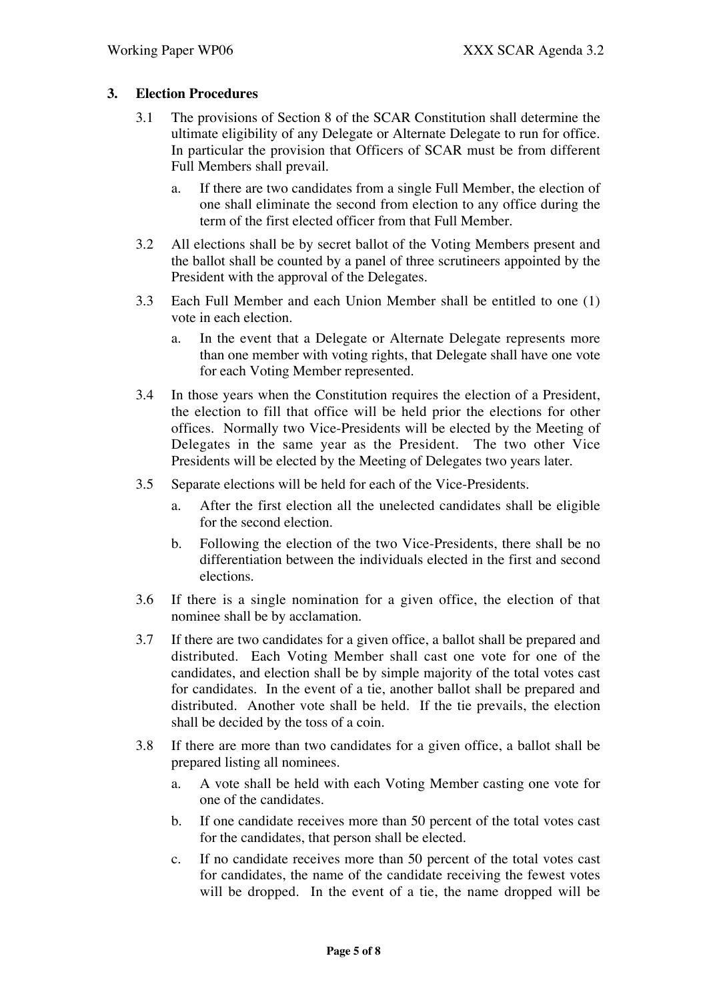### **3. Election Procedures**

- 3.1 The provisions of Section 8 of the SCAR Constitution shall determine the ultimate eligibility of any Delegate or Alternate Delegate to run for office. In particular the provision that Officers of SCAR must be from different Full Members shall prevail.
	- a. If there are two candidates from a single Full Member, the election of one shall eliminate the second from election to any office during the term of the first elected officer from that Full Member.
- 3.2 All elections shall be by secret ballot of the Voting Members present and the ballot shall be counted by a panel of three scrutineers appointed by the President with the approval of the Delegates.
- 3.3 Each Full Member and each Union Member shall be entitled to one (1) vote in each election.
	- a. In the event that a Delegate or Alternate Delegate represents more than one member with voting rights, that Delegate shall have one vote for each Voting Member represented.
- 3.4 In those years when the Constitution requires the election of a President, the election to fill that office will be held prior the elections for other offices. Normally two Vice-Presidents will be elected by the Meeting of Delegates in the same year as the President. The two other Vice Presidents will be elected by the Meeting of Delegates two years later.
- 3.5 Separate elections will be held for each of the Vice-Presidents.
	- a. After the first election all the unelected candidates shall be eligible for the second election.
	- b. Following the election of the two Vice-Presidents, there shall be no differentiation between the individuals elected in the first and second elections.
- 3.6 If there is a single nomination for a given office, the election of that nominee shall be by acclamation.
- 3.7 If there are two candidates for a given office, a ballot shall be prepared and distributed. Each Voting Member shall cast one vote for one of the candidates, and election shall be by simple majority of the total votes cast for candidates. In the event of a tie, another ballot shall be prepared and distributed. Another vote shall be held. If the tie prevails, the election shall be decided by the toss of a coin.
- 3.8 If there are more than two candidates for a given office, a ballot shall be prepared listing all nominees.
	- a. A vote shall be held with each Voting Member casting one vote for one of the candidates.
	- b. If one candidate receives more than 50 percent of the total votes cast for the candidates, that person shall be elected.
	- c. If no candidate receives more than 50 percent of the total votes cast for candidates, the name of the candidate receiving the fewest votes will be dropped. In the event of a tie, the name dropped will be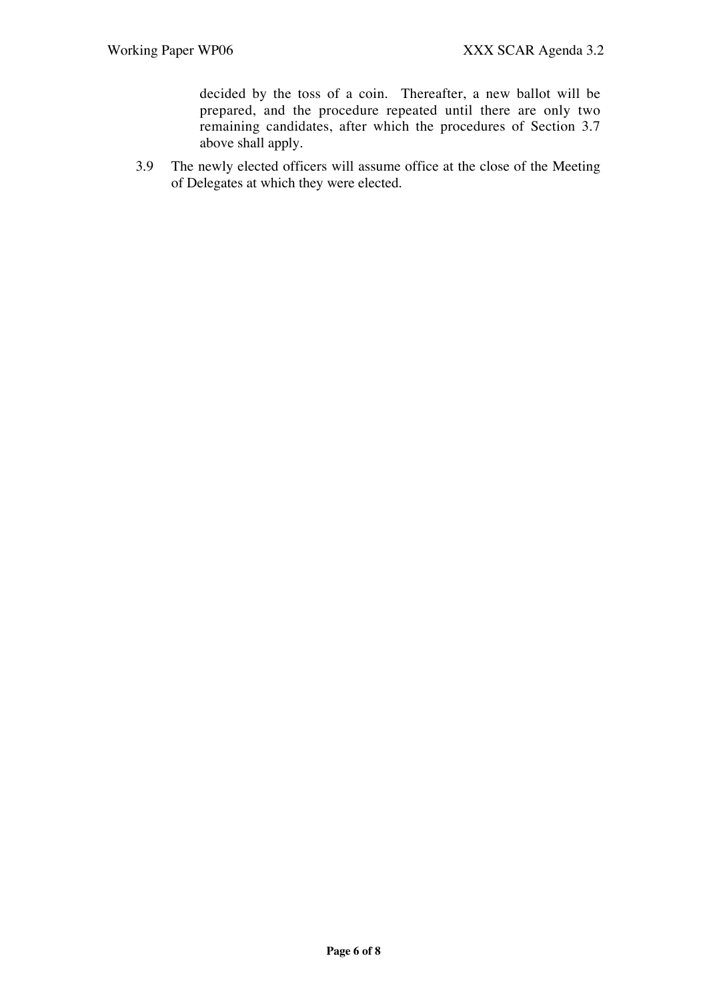decided by the toss of a coin. Thereafter, a new ballot will be prepared, and the procedure repeated until there are only two remaining candidates, after which the procedures of Section 3.7 above shall apply.

3.9 The newly elected officers will assume office at the close of the Meeting of Delegates at which they were elected.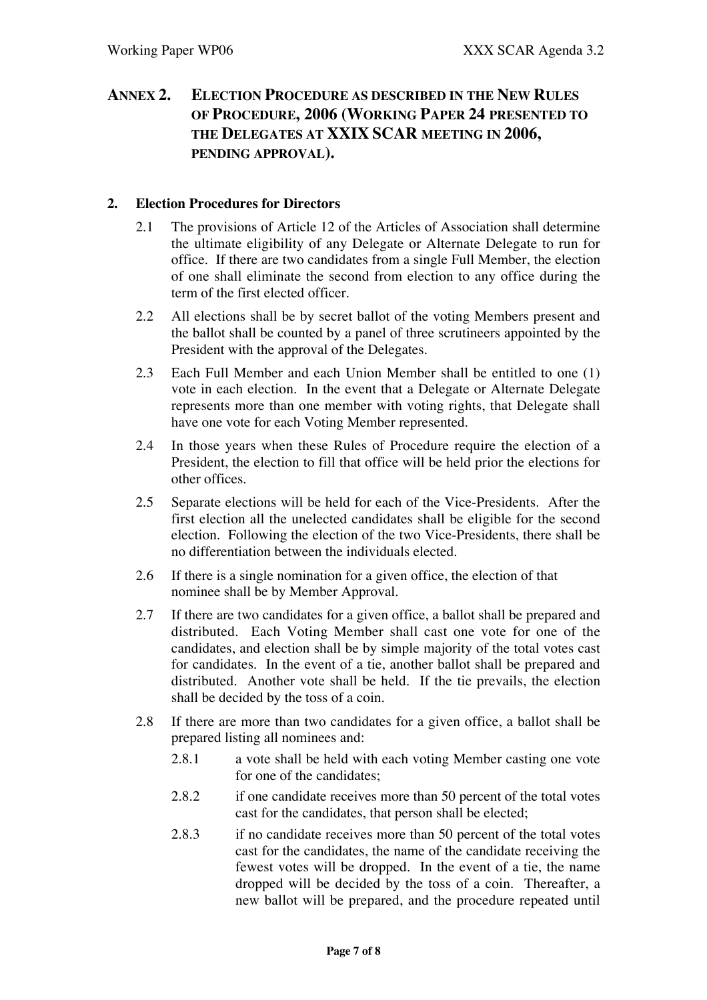# **ANNEX 2. ELECTION PROCEDURE AS DESCRIBED IN THE NEW RULES OF PROCEDURE, 2006 (WORKING PAPER 24 PRESENTED TO THE DELEGATES AT XXIX SCAR MEETING IN 2006, PENDING APPROVAL).**

## **2. Election Procedures for Directors**

- 2.1 The provisions of Article 12 of the Articles of Association shall determine the ultimate eligibility of any Delegate or Alternate Delegate to run for office. If there are two candidates from a single Full Member, the election of one shall eliminate the second from election to any office during the term of the first elected officer.
- 2.2 All elections shall be by secret ballot of the voting Members present and the ballot shall be counted by a panel of three scrutineers appointed by the President with the approval of the Delegates.
- 2.3 Each Full Member and each Union Member shall be entitled to one (1) vote in each election. In the event that a Delegate or Alternate Delegate represents more than one member with voting rights, that Delegate shall have one vote for each Voting Member represented.
- 2.4 In those years when these Rules of Procedure require the election of a President, the election to fill that office will be held prior the elections for other offices.
- 2.5 Separate elections will be held for each of the Vice-Presidents. After the first election all the unelected candidates shall be eligible for the second election. Following the election of the two Vice-Presidents, there shall be no differentiation between the individuals elected.
- 2.6 If there is a single nomination for a given office, the election of that nominee shall be by Member Approval.
- 2.7 If there are two candidates for a given office, a ballot shall be prepared and distributed. Each Voting Member shall cast one vote for one of the candidates, and election shall be by simple majority of the total votes cast for candidates. In the event of a tie, another ballot shall be prepared and distributed. Another vote shall be held. If the tie prevails, the election shall be decided by the toss of a coin.
- 2.8 If there are more than two candidates for a given office, a ballot shall be prepared listing all nominees and:
	- 2.8.1 a vote shall be held with each voting Member casting one vote for one of the candidates;
	- 2.8.2 if one candidate receives more than 50 percent of the total votes cast for the candidates, that person shall be elected;
	- 2.8.3 if no candidate receives more than 50 percent of the total votes cast for the candidates, the name of the candidate receiving the fewest votes will be dropped. In the event of a tie, the name dropped will be decided by the toss of a coin. Thereafter, a new ballot will be prepared, and the procedure repeated until